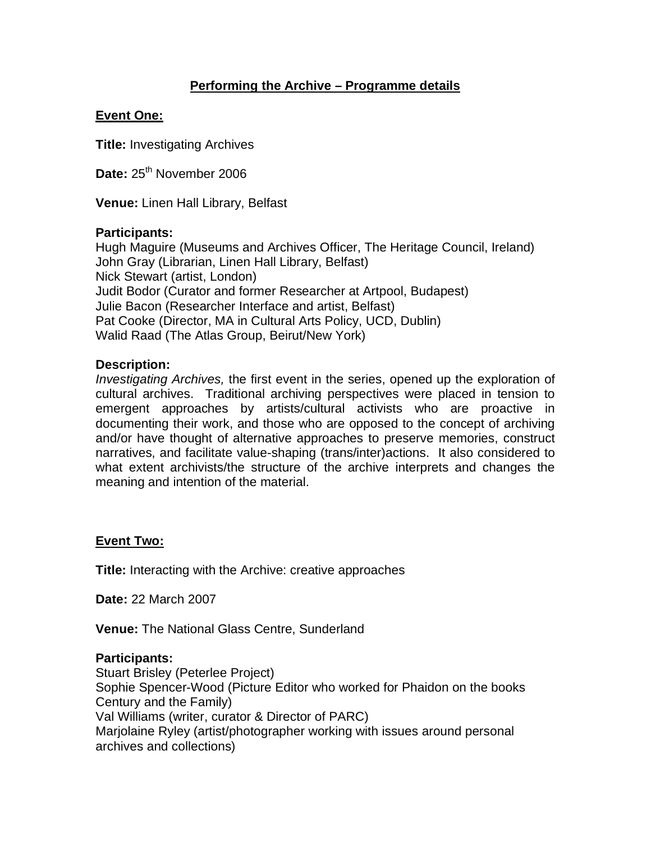# **Performing the Archive – Programme details**

## **Event One:**

**Title:** Investigating Archives

Date: 25<sup>th</sup> November 2006

**Venue:** Linen Hall Library, Belfast

## **Participants:**

Hugh Maguire (Museums and Archives Officer, The Heritage Council, Ireland) John Gray (Librarian, Linen Hall Library, Belfast) Nick Stewart (artist, London) Judit Bodor (Curator and former Researcher at Artpool, Budapest) Julie Bacon (Researcher Interface and artist, Belfast) Pat Cooke (Director, MA in Cultural Arts Policy, UCD, Dublin) Walid Raad (The Atlas Group, Beirut/New York)

### **Description:**

*Investigating Archives,* the first event in the series, opened up the exploration of cultural archives. Traditional archiving perspectives were placed in tension to emergent approaches by artists/cultural activists who are proactive in documenting their work, and those who are opposed to the concept of archiving and/or have thought of alternative approaches to preserve memories, construct narratives, and facilitate value-shaping (trans/inter)actions. It also considered to what extent archivists/the structure of the archive interprets and changes the meaning and intention of the material.

### **Event Two:**

**Title:** Interacting with the Archive: creative approaches

**Date:** 22 March 2007

**Venue:** The National Glass Centre, Sunderland

### **Participants:**

Stuart Brisley (Peterlee Project) Sophie Spencer-Wood (Picture Editor who worked for Phaidon on the books Century and the Family) Val Williams (writer, curator & Director of PARC) Marjolaine Ryley (artist/photographer working with issues around personal archives and collections)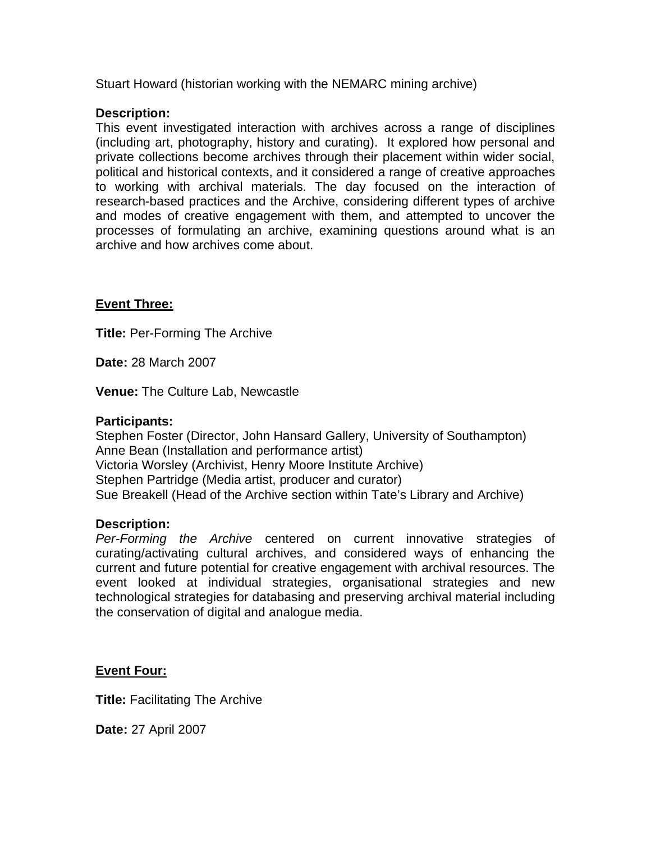Stuart Howard (historian working with the NEMARC mining archive)

## **Description:**

This event investigated interaction with archives across a range of disciplines (including art, photography, history and curating). It explored how personal and private collections become archives through their placement within wider social, political and historical contexts, and it considered a range of creative approaches to working with archival materials. The day focused on the interaction of research-based practices and the Archive, considering different types of archive and modes of creative engagement with them, and attempted to uncover the processes of formulating an archive, examining questions around what is an archive and how archives come about.

## **Event Three:**

**Title:** Per-Forming The Archive

**Date:** 28 March 2007

**Venue:** The Culture Lab, Newcastle

### **Participants:**

Stephen Foster (Director, John Hansard Gallery, University of Southampton) Anne Bean (Installation and performance artist) Victoria Worsley (Archivist, Henry Moore Institute Archive) Stephen Partridge (Media artist, producer and curator) Sue Breakell (Head of the Archive section within Tate's Library and Archive)

## **Description:**

*Per-Forming the Archive* centered on current innovative strategies of curating/activating cultural archives, and considered ways of enhancing the current and future potential for creative engagement with archival resources. The event looked at individual strategies, organisational strategies and new technological strategies for databasing and preserving archival material including the conservation of digital and analogue media.

## **Event Four:**

**Title:** Facilitating The Archive

**Date:** 27 April 2007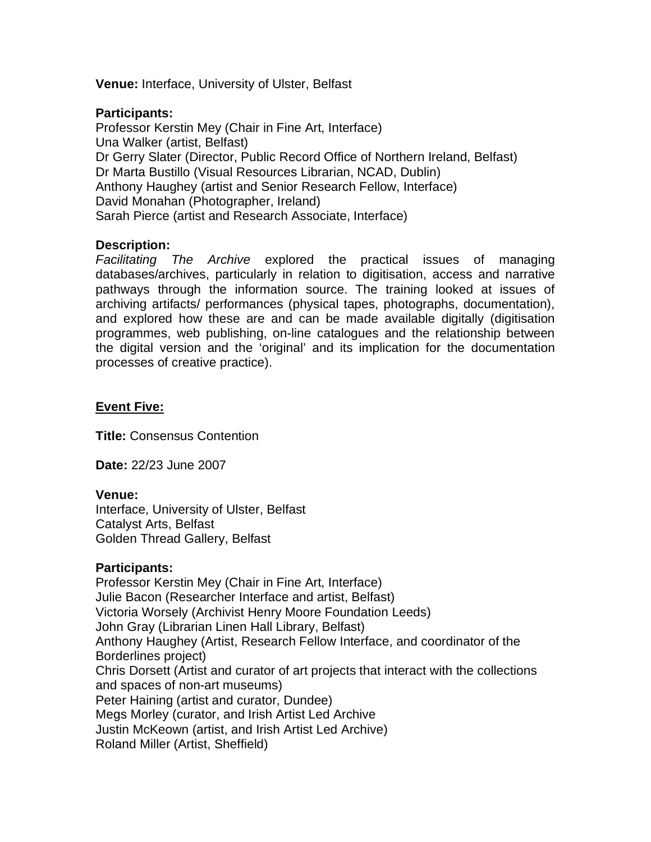**Venue:** Interface, University of Ulster, Belfast

## **Participants:**

Professor Kerstin Mey (Chair in Fine Art, Interface) Una Walker (artist, Belfast) Dr Gerry Slater (Director, Public Record Office of Northern Ireland, Belfast) Dr Marta Bustillo (Visual Resources Librarian, NCAD, Dublin) Anthony Haughey (artist and Senior Research Fellow, Interface) David Monahan (Photographer, Ireland) Sarah Pierce (artist and Research Associate, Interface)

## **Description:**

*Facilitating The Archive* explored the practical issues of managing databases/archives, particularly in relation to digitisation, access and narrative pathways through the information source. The training looked at issues of archiving artifacts/ performances (physical tapes, photographs, documentation), and explored how these are and can be made available digitally (digitisation programmes, web publishing, on-line catalogues and the relationship between the digital version and the 'original' and its implication for the documentation processes of creative practice).

## **Event Five:**

**Title:** Consensus Contention

**Date:** 22/23 June 2007

### **Venue:**

Interface, University of Ulster, Belfast Catalyst Arts, Belfast Golden Thread Gallery, Belfast

## **Participants:**

Professor Kerstin Mey (Chair in Fine Art, Interface) Julie Bacon (Researcher Interface and artist, Belfast) Victoria Worsely (Archivist Henry Moore Foundation Leeds) John Gray (Librarian Linen Hall Library, Belfast) Anthony Haughey (Artist, Research Fellow Interface, and coordinator of the Borderlines project) Chris Dorsett (Artist and curator of art projects that interact with the collections and spaces of non-art museums) Peter Haining (artist and curator, Dundee) Megs Morley (curator, and Irish Artist Led Archive Justin McKeown (artist, and Irish Artist Led Archive) Roland Miller (Artist, Sheffield)